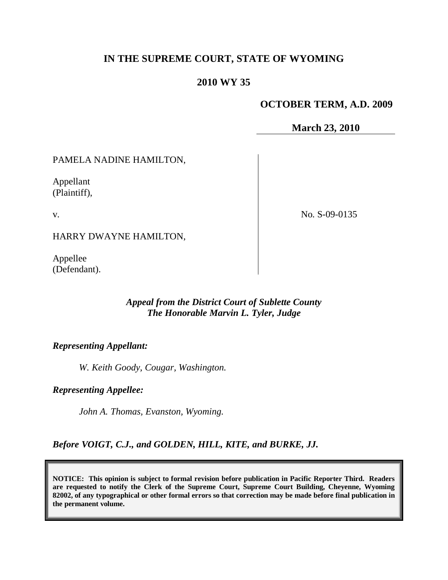# **IN THE SUPREME COURT, STATE OF WYOMING**

### **2010 WY 35**

#### **OCTOBER TERM, A.D. 2009**

**March 23, 2010**

PAMELA NADINE HAMILTON,

Appellant (Plaintiff),

v.

No. S-09-0135

HARRY DWAYNE HAMILTON,

Appellee (Defendant).

# *Appeal from the District Court of Sublette County The Honorable Marvin L. Tyler, Judge*

#### *Representing Appellant:*

*W. Keith Goody, Cougar, Washington.*

*Representing Appellee:*

*John A. Thomas, Evanston, Wyoming.*

*Before VOIGT, C.J., and GOLDEN, HILL, KITE, and BURKE, JJ.*

**NOTICE: This opinion is subject to formal revision before publication in Pacific Reporter Third. Readers are requested to notify the Clerk of the Supreme Court, Supreme Court Building, Cheyenne, Wyoming 82002, of any typographical or other formal errors so that correction may be made before final publication in the permanent volume.**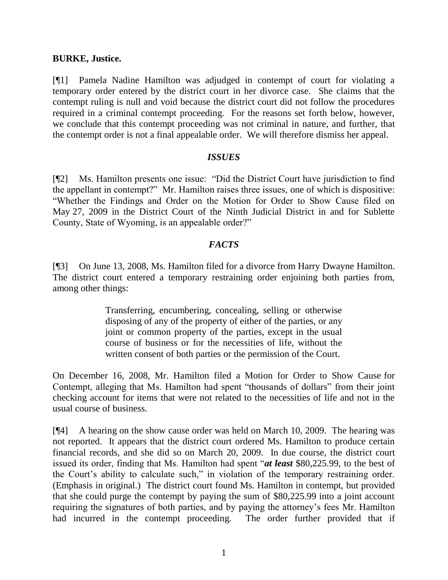#### **BURKE, Justice.**

[¶1] Pamela Nadine Hamilton was adjudged in contempt of court for violating a temporary order entered by the district court in her divorce case. She claims that the contempt ruling is null and void because the district court did not follow the procedures required in a criminal contempt proceeding. For the reasons set forth below, however, we conclude that this contempt proceeding was not criminal in nature, and further, that the contempt order is not a final appealable order. We will therefore dismiss her appeal.

#### *ISSUES*

[¶2] Ms. Hamilton presents one issue: "Did the District Court have jurisdiction to find the appellant in contempt?" Mr. Hamilton raises three issues, one of which is dispositive: "Whether the Findings and Order on the Motion for Order to Show Cause filed on May 27, 2009 in the District Court of the Ninth Judicial District in and for Sublette County, State of Wyoming, is an appealable order?"

### *FACTS*

[¶3] On June 13, 2008, Ms. Hamilton filed for a divorce from Harry Dwayne Hamilton. The district court entered a temporary restraining order enjoining both parties from, among other things:

> Transferring, encumbering, concealing, selling or otherwise disposing of any of the property of either of the parties, or any joint or common property of the parties, except in the usual course of business or for the necessities of life, without the written consent of both parties or the permission of the Court.

On December 16, 2008, Mr. Hamilton filed a Motion for Order to Show Cause for Contempt, alleging that Ms. Hamilton had spent "thousands of dollars" from their joint checking account for items that were not related to the necessities of life and not in the usual course of business.

[¶4] A hearing on the show cause order was held on March 10, 2009. The hearing was not reported. It appears that the district court ordered Ms. Hamilton to produce certain financial records, and she did so on March 20, 2009. In due course, the district court issued its order, finding that Ms. Hamilton had spent "*at least* \$80,225.99, to the best of the Court's ability to calculate such," in violation of the temporary restraining order. (Emphasis in original.) The district court found Ms. Hamilton in contempt, but provided that she could purge the contempt by paying the sum of \$80,225.99 into a joint account requiring the signatures of both parties, and by paying the attorney's fees Mr. Hamilton had incurred in the contempt proceeding. The order further provided that if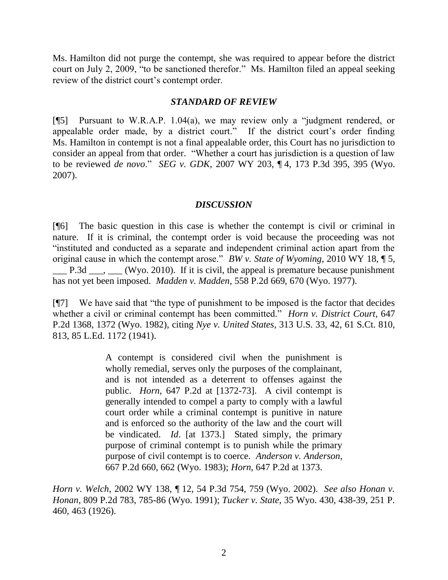Ms. Hamilton did not purge the contempt, she was required to appear before the district court on July 2, 2009, "to be sanctioned therefor." Ms. Hamilton filed an appeal seeking review of the district court's contempt order.

#### *STANDARD OF REVIEW*

[¶5] Pursuant to W.R.A.P. 1.04(a), we may review only a "judgment rendered, or appealable order made, by a district court." If the district court's order finding Ms. Hamilton in contempt is not a final appealable order, this Court has no jurisdiction to consider an appeal from that order. "Whether a court has jurisdiction is a question of law to be reviewed *de novo*." *SEG v. GDK*, 2007 WY 203, ¶ 4, 173 P.3d 395, 395 (Wyo. 2007).

#### *DISCUSSION*

[¶6] The basic question in this case is whether the contempt is civil or criminal in nature. If it is criminal, the contempt order is void because the proceeding was not "instituted and conducted as a separate and independent criminal action apart from the original cause in which the contempt arose." *BW v. State of Wyoming*, 2010 WY 18, ¶ 5, P.3d  $\ldots$  (Wyo. 2010). If it is civil, the appeal is premature because punishment has not yet been imposed. *Madden v. Madden*, 558 P.2d 669, 670 (Wyo. 1977).

[¶7] We have said that "the type of punishment to be imposed is the factor that decides whether a civil or criminal contempt has been committed." *Horn v. District Court*, 647 P.2d 1368, 1372 (Wyo. 1982), citing *Nye v. United States*, 313 U.S. 33, 42, 61 S.Ct. 810, 813, 85 L.Ed. 1172 (1941).

> A contempt is considered civil when the punishment is wholly remedial, serves only the purposes of the complainant, and is not intended as a deterrent to offenses against the public. *Horn*, 647 P.2d at [1372-73]. A civil contempt is generally intended to compel a party to comply with a lawful court order while a criminal contempt is punitive in nature and is enforced so the authority of the law and the court will be vindicated. *Id*. [at 1373.] Stated simply, the primary purpose of criminal contempt is to punish while the primary purpose of civil contempt is to coerce. *Anderson v. Anderson*, 667 P.2d 660, 662 (Wyo. 1983); *Horn*, 647 P.2d at 1373.

*Horn v. Welch*, 2002 WY 138, ¶ 12, 54 P.3d 754, 759 (Wyo. 2002). *See also Honan v. Honan*, 809 P.2d 783, 785-86 (Wyo. 1991); *Tucker v. State*, 35 Wyo. 430, 438-39, 251 P. 460, 463 (1926).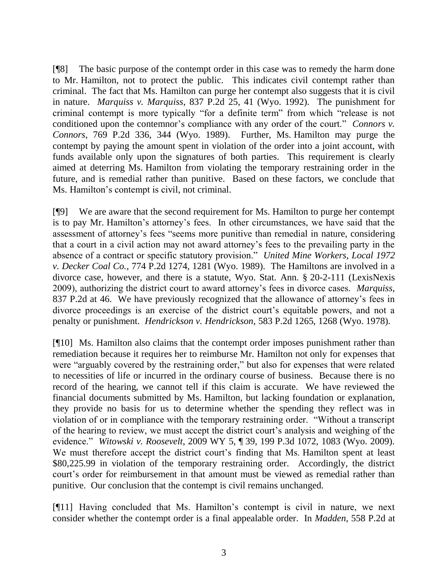[¶8] The basic purpose of the contempt order in this case was to remedy the harm done to Mr. Hamilton, not to protect the public. This indicates civil contempt rather than criminal. The fact that Ms. Hamilton can purge her contempt also suggests that it is civil in nature. *Marquiss v. Marquiss*, 837 P.2d 25, 41 (Wyo. 1992). The punishment for criminal contempt is more typically "for a definite term" from which "release is not conditioned upon the contemnor's compliance with any order of the court." *Connors v. Connors*, 769 P.2d 336, 344 (Wyo. 1989). Further, Ms. Hamilton may purge the contempt by paying the amount spent in violation of the order into a joint account, with funds available only upon the signatures of both parties. This requirement is clearly aimed at deterring Ms. Hamilton from violating the temporary restraining order in the future, and is remedial rather than punitive. Based on these factors, we conclude that Ms. Hamilton's contempt is civil, not criminal.

[¶9] We are aware that the second requirement for Ms. Hamilton to purge her contempt is to pay Mr. Hamilton's attorney's fees. In other circumstances, we have said that the assessment of attorney's fees "seems more punitive than remedial in nature, considering that a court in a civil action may not award attorney's fees to the prevailing party in the absence of a contract or specific statutory provision." *United Mine Workers, Local 1972 v. Decker Coal Co.*, 774 P.2d 1274, 1281 (Wyo. 1989). The Hamiltons are involved in a divorce case, however, and there is a statute, Wyo. Stat. Ann. § 20-2-111 (LexisNexis 2009), authorizing the district court to award attorney's fees in divorce cases. *Marquiss*, 837 P.2d at 46. We have previously recognized that the allowance of attorney's fees in divorce proceedings is an exercise of the district court's equitable powers, and not a penalty or punishment. *Hendrickson v. Hendrickson*, 583 P.2d 1265, 1268 (Wyo. 1978).

[¶10] Ms. Hamilton also claims that the contempt order imposes punishment rather than remediation because it requires her to reimburse Mr. Hamilton not only for expenses that were "arguably covered by the restraining order," but also for expenses that were related to necessities of life or incurred in the ordinary course of business. Because there is no record of the hearing, we cannot tell if this claim is accurate. We have reviewed the financial documents submitted by Ms. Hamilton, but lacking foundation or explanation, they provide no basis for us to determine whether the spending they reflect was in violation of or in compliance with the temporary restraining order. "Without a transcript of the hearing to review, we must accept the district court's analysis and weighing of the evidence." *Witowski v. Roosevelt*, 2009 WY 5, ¶ 39, 199 P.3d 1072, 1083 (Wyo. 2009). We must therefore accept the district court's finding that Ms. Hamilton spent at least \$80,225.99 in violation of the temporary restraining order. Accordingly, the district court's order for reimbursement in that amount must be viewed as remedial rather than punitive. Our conclusion that the contempt is civil remains unchanged.

[¶11] Having concluded that Ms. Hamilton's contempt is civil in nature, we next consider whether the contempt order is a final appealable order. In *Madden*, 558 P.2d at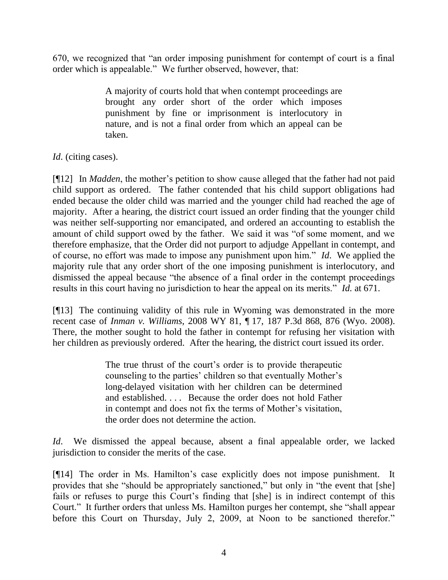670, we recognized that "an order imposing punishment for contempt of court is a final order which is appealable." We further observed, however, that:

> A majority of courts hold that when contempt proceedings are brought any order short of the order which imposes punishment by fine or imprisonment is interlocutory in nature, and is not a final order from which an appeal can be taken.

# *Id*. (citing cases).

[¶12] In *Madden*, the mother's petition to show cause alleged that the father had not paid child support as ordered. The father contended that his child support obligations had ended because the older child was married and the younger child had reached the age of majority. After a hearing, the district court issued an order finding that the younger child was neither self-supporting nor emancipated, and ordered an accounting to establish the amount of child support owed by the father. We said it was "of some moment, and we therefore emphasize, that the Order did not purport to adjudge Appellant in contempt, and of course, no effort was made to impose any punishment upon him." *Id*. We applied the majority rule that any order short of the one imposing punishment is interlocutory, and dismissed the appeal because "the absence of a final order in the contempt proceedings results in this court having no jurisdiction to hear the appeal on its merits." *Id*. at 671.

[¶13] The continuing validity of this rule in Wyoming was demonstrated in the more recent case of *Inman v. Williams*, 2008 WY 81, ¶ 17, 187 P.3d 868, 876 (Wyo. 2008). There, the mother sought to hold the father in contempt for refusing her visitation with her children as previously ordered. After the hearing, the district court issued its order.

> The true thrust of the court's order is to provide therapeutic counseling to the parties' children so that eventually Mother's long-delayed visitation with her children can be determined and established. . . . Because the order does not hold Father in contempt and does not fix the terms of Mother's visitation, the order does not determine the action.

*Id*. We dismissed the appeal because, absent a final appealable order, we lacked jurisdiction to consider the merits of the case.

[¶14] The order in Ms. Hamilton's case explicitly does not impose punishment. It provides that she "should be appropriately sanctioned," but only in "the event that [she] fails or refuses to purge this Court's finding that [she] is in indirect contempt of this Court." It further orders that unless Ms. Hamilton purges her contempt, she "shall appear before this Court on Thursday, July 2, 2009, at Noon to be sanctioned therefor."